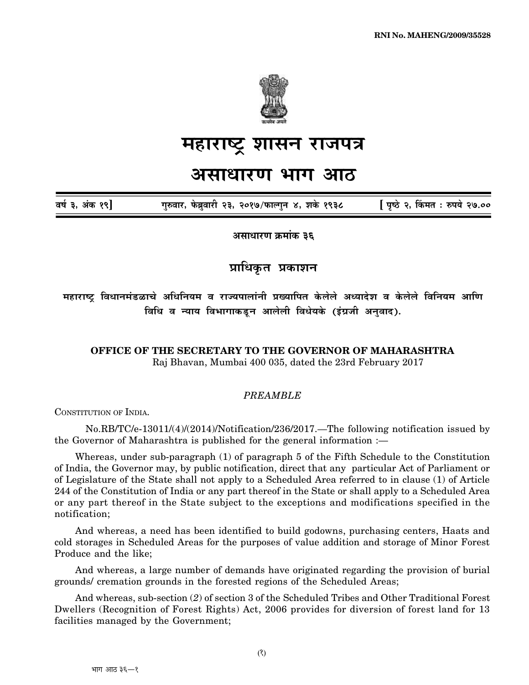

# <u>महाराष्ट्र शासन राजपत्र</u>

## असाधारण भाग आठ

 $\overline{a}$ र्ष ३, अंक १९] गुरुवार, फेब्रुवारी २३, २०१७/फाल्गुन ४, शके १९३८ [ पृष्ठे २, किंमत : रुपये २७.००

असाधारण क्रमांक **३६** 

**प्राधिकृत** प्रकाशन

महाराष्ट्र विधानमंडळाचे अधिनियम व राज्यपालांनी प्रख्यापित केलेले अध्यादेश व केलेले विनियम आणि <u>विधि व न्याय विभागाकडून आलेली विधेयके (इंग्रजी अनुवाद).</u>

**OFFICE OF THE SECRETARY TO THE GOVERNOR OF MAHARASHTRA** Raj Bhavan, Mumbai 400 035, dated the 23rd February 2017

#### *PREAMBLE*

CONSTITUTION OF INDIA.

No.RB/TC/e-13011/(4)/(2014)/Notification/236/2017.—The following notification issued by the Governor of Maharashtra is published for the general information :—

Whereas, under sub-paragraph (1) of paragraph 5 of the Fifth Schedule to the Constitution of India, the Governor may, by public notification, direct that any particular Act of Parliament or of Legislature of the State shall not apply to a Scheduled Area referred to in clause (1) of Article 244 of the Constitution of India or any part thereof in the State or shall apply to a Scheduled Area or any part thereof in the State subject to the exceptions and modifications specified in the notification;

And whereas, a need has been identified to build godowns, purchasing centers, Haats and cold storages in Scheduled Areas for the purposes of value addition and storage of Minor Forest Produce and the like;

And whereas, a large number of demands have originated regarding the provision of burial grounds/ cremation grounds in the forested regions of the Scheduled Areas;

And whereas, sub-section (*2*) of section 3 of the Scheduled Tribes and Other Traditional Forest Dwellers (Recognition of Forest Rights) Act, 2006 provides for diversion of forest land for 13 facilities managed by the Government;